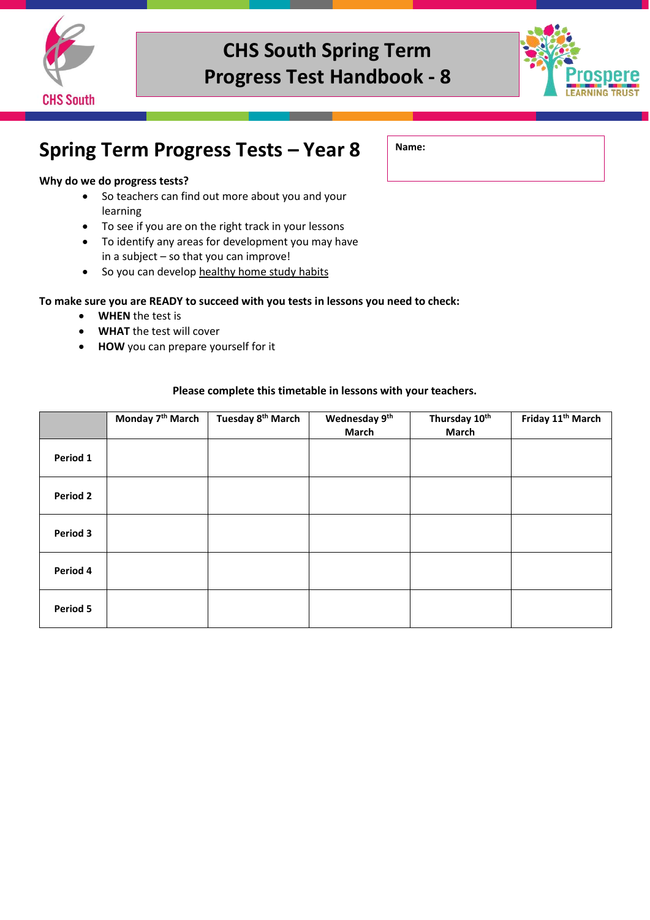



### **Spring Term Progress Tests – Year 8**

#### **Why do we do progress tests?**

- So teachers can find out more about you and your learning
- To see if you are on the right track in your lessons
- To identify any areas for development you may have in a subject – so that you can improve!
- So you can develop healthy home study habits

#### **To make sure you are READY to succeed with you tests in lessons you need to check:**

- **WHEN** the test is
- **WHAT** the test will cover
- **HOW** you can prepare yourself for it

#### **Please complete this timetable in lessons with your teachers.**

|          | Monday 7 <sup>th</sup> March | Tuesday 8 <sup>th</sup> March | Wednesday 9th<br>March | Thursday 10th<br>March | Friday 11 <sup>th</sup> March |
|----------|------------------------------|-------------------------------|------------------------|------------------------|-------------------------------|
| Period 1 |                              |                               |                        |                        |                               |
| Period 2 |                              |                               |                        |                        |                               |
| Period 3 |                              |                               |                        |                        |                               |
| Period 4 |                              |                               |                        |                        |                               |
| Period 5 |                              |                               |                        |                        |                               |

**Name:**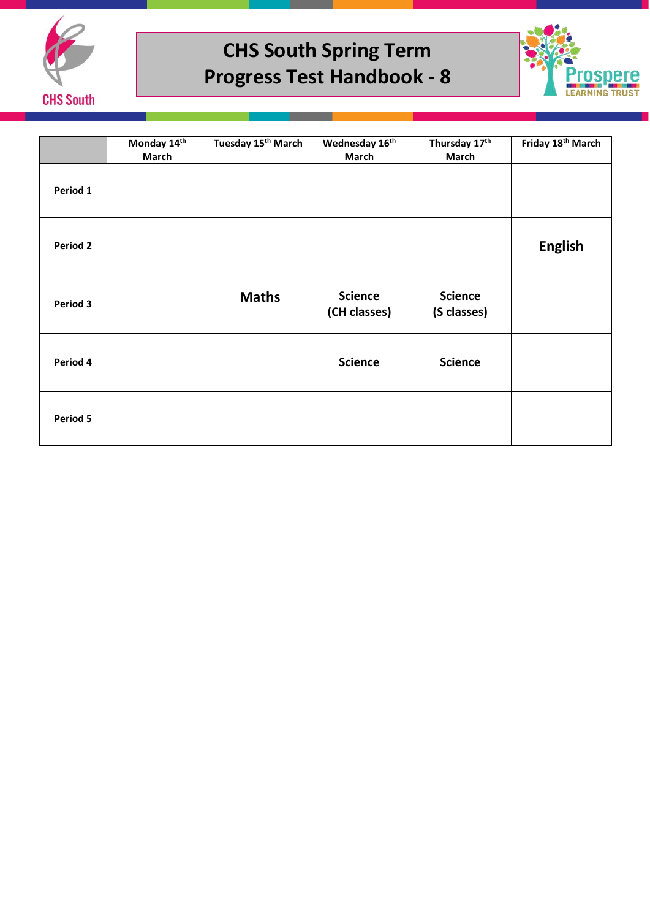



|                 | Monday 14th<br>March | Tuesday 15 <sup>th</sup> March | Wednesday 16th<br><b>March</b> | Thursday 17th<br><b>March</b> | Friday 18 <sup>th</sup> March |
|-----------------|----------------------|--------------------------------|--------------------------------|-------------------------------|-------------------------------|
| Period 1        |                      |                                |                                |                               |                               |
| <b>Period 2</b> |                      |                                |                                |                               | <b>English</b>                |
| Period 3        |                      | <b>Maths</b>                   | <b>Science</b><br>(CH classes) | <b>Science</b><br>(S classes) |                               |
| Period 4        |                      |                                | <b>Science</b>                 | <b>Science</b>                |                               |
| Period 5        |                      |                                |                                |                               |                               |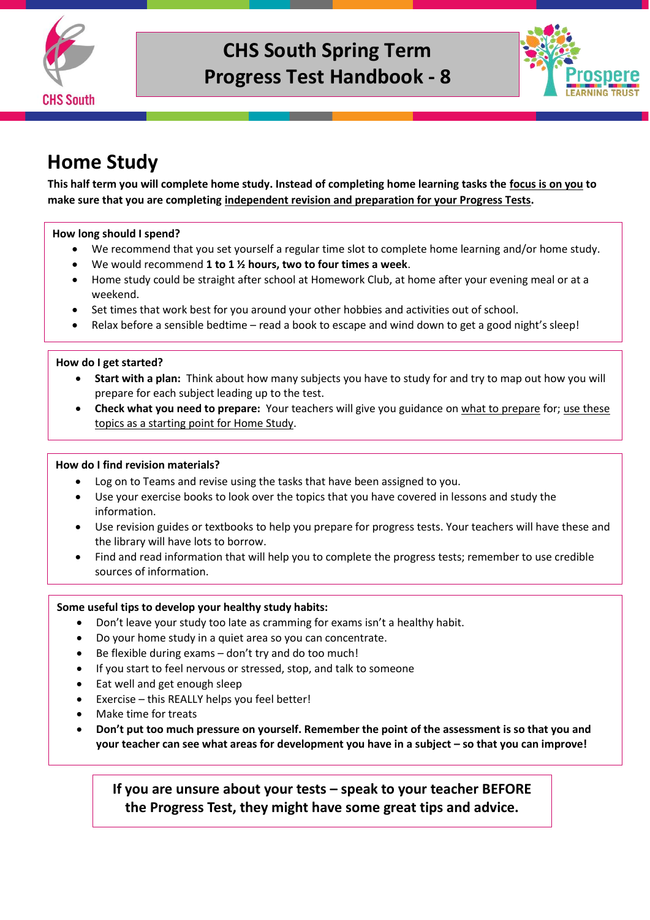



### **Home Study**

**This half term you will complete home study. Instead of completing home learning tasks the focus is on you to make sure that you are completing independent revision and preparation for your Progress Tests.** 

#### **How long should I spend?**

- We recommend that you set yourself a regular time slot to complete home learning and/or home study.
- We would recommend **1 to 1 ½ hours, two to four times a week**.
- Home study could be straight after school at Homework Club, at home after your evening meal or at a weekend.
- Set times that work best for you around your other hobbies and activities out of school.
- Relax before a sensible bedtime read a book to escape and wind down to get a good night's sleep!

#### **How do I get started?**

- **Start with a plan:** Think about how many subjects you have to study for and try to map out how you will prepare for each subject leading up to the test.
- **Check what you need to prepare:** Your teachers will give you guidance on what to prepare for; use these topics as a starting point for Home Study.

#### **How do I find revision materials?**

- Log on to Teams and revise using the tasks that have been assigned to you.
- Use your exercise books to look over the topics that you have covered in lessons and study the information.
- Use revision guides or textbooks to help you prepare for progress tests. Your teachers will have these and the library will have lots to borrow.
- Find and read information that will help you to complete the progress tests; remember to use credible sources of information.

#### **Some useful tips to develop your healthy study habits:**

- Don't leave your study too late as cramming for exams isn't a healthy habit.
- Do your home study in a quiet area so you can concentrate.
- Be flexible during exams don't try and do too much!
- If you start to feel nervous or stressed, stop, and talk to someone
- Eat well and get enough sleep
- Exercise this REALLY helps you feel better!
- Make time for treats
- **Don't put too much pressure on yourself. Remember the point of the assessment is so that you and your teacher can see what areas for development you have in a subject – so that you can improve!**

**If you are unsure about your tests – speak to your teacher BEFORE the Progress Test, they might have some great tips and advice.**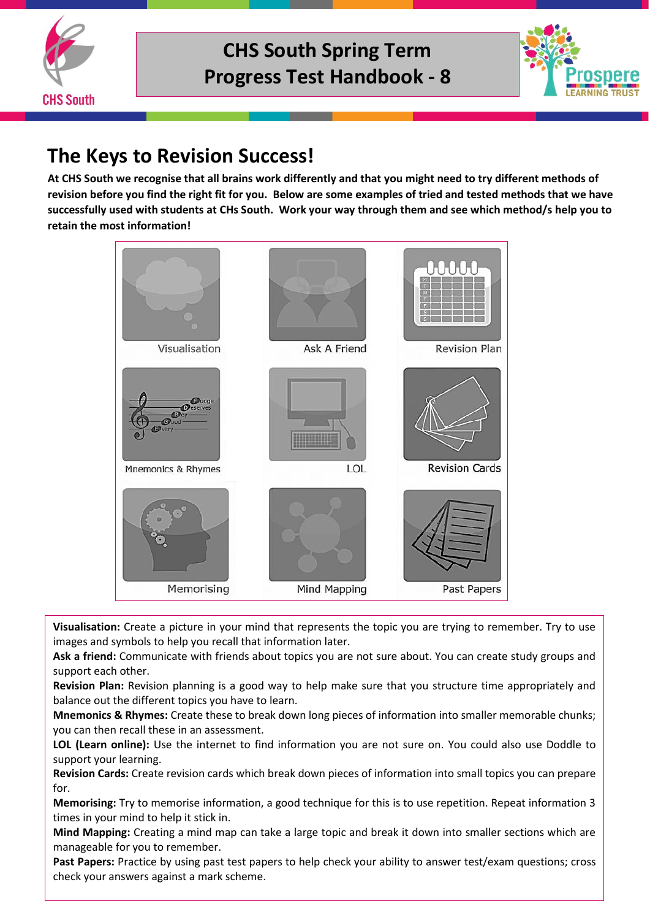



### **The Keys to Revision Success!**

**At CHS South we recognise that all brains work differently and that you might need to try different methods of revision before you find the right fit for you. Below are some examples of tried and tested methods that we have successfully used with students at CHs South. Work your way through them and see which method/s help you to retain the most information!**



**Visualisation:** Create a picture in your mind that represents the topic you are trying to remember. Try to use images and symbols to help you recall that information later.

**Ask a friend:** Communicate with friends about topics you are not sure about. You can create study groups and support each other.

**Revision Plan:** Revision planning is a good way to help make sure that you structure time appropriately and balance out the different topics you have to learn.

**Mnemonics & Rhymes:** Create these to break down long pieces of information into smaller memorable chunks; you can then recall these in an assessment.

**LOL (Learn online):** Use the internet to find information you are not sure on. You could also use Doddle to support your learning.

**Revision Cards:** Create revision cards which break down pieces of information into small topics you can prepare for.

**Memorising:** Try to memorise information, a good technique for this is to use repetition. Repeat information 3 times in your mind to help it stick in.

**Mind Mapping:** Creating a mind map can take a large topic and break it down into smaller sections which are manageable for you to remember.

**Past Papers:** Practice by using past test papers to help check your ability to answer test/exam questions; cross check your answers against a mark scheme.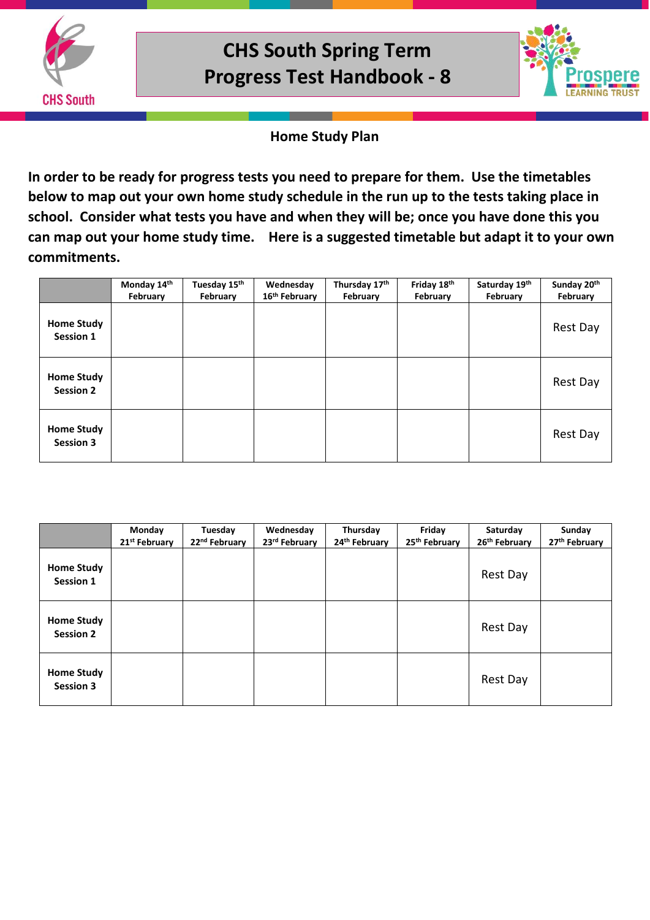



### **Home Study Plan**

**In order to be ready for progress tests you need to prepare for them. Use the timetables below to map out your own home study schedule in the run up to the tests taking place in school. Consider what tests you have and when they will be; once you have done this you can map out your home study time. Here is a suggested timetable but adapt it to your own commitments.** 

|                                       | Monday 14th<br>February | Tuesday 15th<br>February | Wednesday<br>16 <sup>th</sup> February | Thursday 17th<br>February | Friday 18th<br>February | Saturday 19th<br>February | Sunday 20th<br>February |
|---------------------------------------|-------------------------|--------------------------|----------------------------------------|---------------------------|-------------------------|---------------------------|-------------------------|
| <b>Home Study</b><br>Session 1        |                         |                          |                                        |                           |                         |                           | Rest Day                |
| <b>Home Study</b><br><b>Session 2</b> |                         |                          |                                        |                           |                         |                           | Rest Day                |
| <b>Home Study</b><br><b>Session 3</b> |                         |                          |                                        |                           |                         |                           | Rest Day                |

|                                       | Monday<br>21 <sup>st</sup> February | Tuesday<br>22 <sup>nd</sup> February | Wednesday<br>23rd February | Thursday<br>24th February | Friday<br>25th February | Saturday<br>26th February | Sunday<br>27th February |
|---------------------------------------|-------------------------------------|--------------------------------------|----------------------------|---------------------------|-------------------------|---------------------------|-------------------------|
| <b>Home Study</b><br>Session 1        |                                     |                                      |                            |                           |                         | Rest Day                  |                         |
| <b>Home Study</b><br><b>Session 2</b> |                                     |                                      |                            |                           |                         | Rest Day                  |                         |
| <b>Home Study</b><br><b>Session 3</b> |                                     |                                      |                            |                           |                         | Rest Day                  |                         |